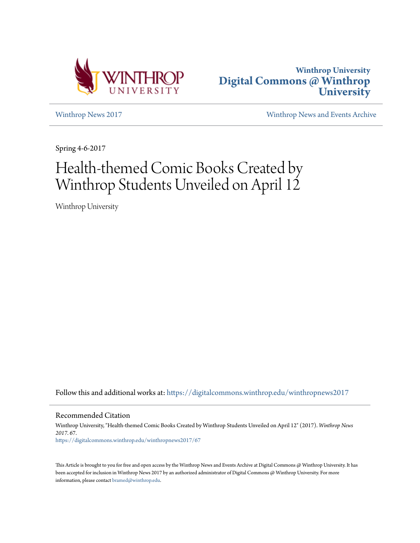



[Winthrop News 2017](https://digitalcommons.winthrop.edu/winthropnews2017?utm_source=digitalcommons.winthrop.edu%2Fwinthropnews2017%2F67&utm_medium=PDF&utm_campaign=PDFCoverPages) [Winthrop News and Events Archive](https://digitalcommons.winthrop.edu/winthropnewsarchives?utm_source=digitalcommons.winthrop.edu%2Fwinthropnews2017%2F67&utm_medium=PDF&utm_campaign=PDFCoverPages)

Spring 4-6-2017

## Health-themed Comic Books Created by Winthrop Students Unveiled on April 12

Winthrop University

Follow this and additional works at: [https://digitalcommons.winthrop.edu/winthropnews2017](https://digitalcommons.winthrop.edu/winthropnews2017?utm_source=digitalcommons.winthrop.edu%2Fwinthropnews2017%2F67&utm_medium=PDF&utm_campaign=PDFCoverPages)

Recommended Citation

Winthrop University, "Health-themed Comic Books Created by Winthrop Students Unveiled on April 12" (2017). *Winthrop News 2017*. 67. [https://digitalcommons.winthrop.edu/winthropnews2017/67](https://digitalcommons.winthrop.edu/winthropnews2017/67?utm_source=digitalcommons.winthrop.edu%2Fwinthropnews2017%2F67&utm_medium=PDF&utm_campaign=PDFCoverPages)

This Article is brought to you for free and open access by the Winthrop News and Events Archive at Digital Commons @ Winthrop University. It has been accepted for inclusion in Winthrop News 2017 by an authorized administrator of Digital Commons @ Winthrop University. For more information, please contact [bramed@winthrop.edu](mailto:bramed@winthrop.edu).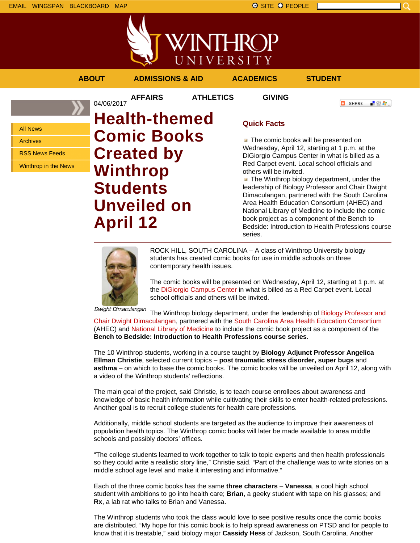WINTHROP UNIVERSITY

**AFFAIRS ATHLETICS GIVING**

**ABOUT ADMISSIONS & AID ACADEMICS STUDENT**

**C** SHARE

上没有。

04/06/2017

All News

Archives

RSS News Feeds

Winthrop in the News

**Health-themed Comic Books Created by Winthrop Students Unveiled on April 12**

## **Quick Facts**

**T** The comic books will be presented on Wednesday, April 12, starting at 1 p.m. at the DiGiorgio Campus Center in what is billed as a Red Carpet event. Local school officials and others will be invited.

 $\blacksquare$  The Winthrop biology department, under the leadership of Biology Professor and Chair Dwight Dimaculangan, partnered with the South Carolina Area Health Education Consortium (AHEC) and National Library of Medicine to include the comic book project as a component of the Bench to Bedside: Introduction to Health Professions course series.



ROCK HILL, SOUTH CAROLINA – A class of Winthrop University biology students has created comic books for use in middle schools on three contemporary health issues.

The comic books will be presented on Wednesday, April 12, starting at 1 p.m. at the DiGiorgio Campus Center in what is billed as a Red Carpet event. Local school officials and others will be invited.

Dwight Dimaculangan

The Winthrop biology department, under the leadership of Biology Professor and Chair Dwight Dimaculangan, partnered with the South Carolina Area Health Education Consortium (AHEC) and National Library of Medicine to include the comic book project as a component of the **Bench to Bedside: Introduction to Health Professions course series**.

The 10 Winthrop students, working in a course taught by **Biology Adjunct Professor Angelica Ellman Christie**, selected current topics – **post traumatic stress disorder, super bugs** and **asthma** – on which to base the comic books. The comic books will be unveiled on April 12, along with a video of the Winthrop students' reflections.

The main goal of the project, said Christie, is to teach course enrollees about awareness and knowledge of basic health information while cultivating their skills to enter health-related professions. Another goal is to recruit college students for health care professions.

Additionally, middle school students are targeted as the audience to improve their awareness of population health topics. The Winthrop comic books will later be made available to area middle schools and possibly doctors' offices.

"The college students learned to work together to talk to topic experts and then health professionals so they could write a realistic story line," Christie said. "Part of the challenge was to write stories on a middle school age level and make it interesting and informative."

Each of the three comic books has the same **three characters** – **Vanessa**, a cool high school student with ambitions to go into health care; **Brian**, a geeky student with tape on his glasses; and **Rx**, a lab rat who talks to Brian and Vanessa.

The Winthrop students who took the class would love to see positive results once the comic books are distributed. "My hope for this comic book is to help spread awareness on PTSD and for people to know that it is treatable," said biology major **Cassidy Hess** of Jackson, South Carolina. Another